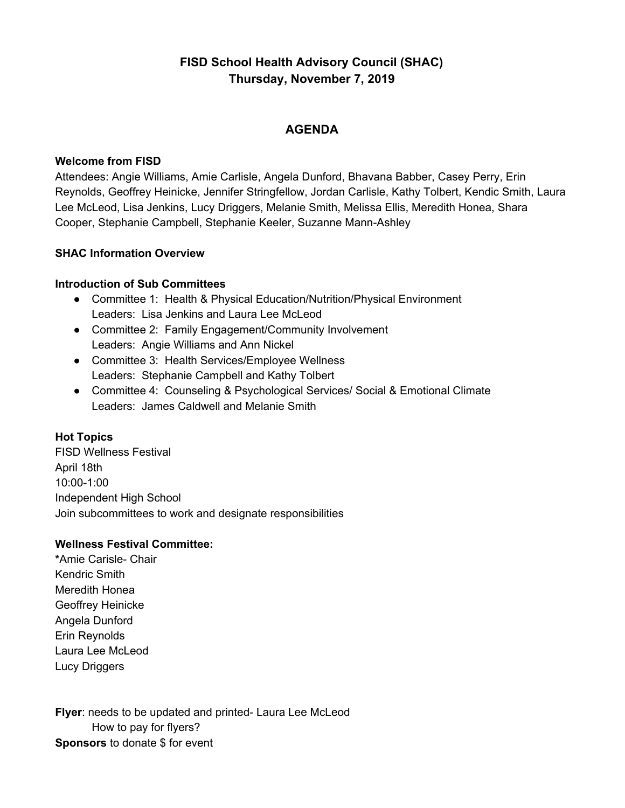# **FISD School Health Advisory Council (SHAC) Thursday, November 7, 2019**

# **AGENDA**

#### **Welcome from FISD**

Attendees: Angie Williams, Amie Carlisle, Angela Dunford, Bhavana Babber, Casey Perry, Erin Reynolds, Geoffrey Heinicke, Jennifer Stringfellow, Jordan Carlisle, Kathy Tolbert, Kendic Smith, Laura Lee McLeod, Lisa Jenkins, Lucy Driggers, Melanie Smith, Melissa Ellis, Meredith Honea, Shara Cooper, Stephanie Campbell, Stephanie Keeler, Suzanne Mann-Ashley

#### **SHAC Information Overview**

### **Introduction of Sub Committees**

- Committee 1: Health & Physical Education/Nutrition/Physical Environment Leaders: Lisa Jenkins and Laura Lee McLeod
- Committee 2: Family Engagement/Community Involvement Leaders: Angie Williams and Ann Nickel
- Committee 3: Health Services/Employee Wellness Leaders: Stephanie Campbell and Kathy Tolbert
- Committee 4: Counseling & Psychological Services/ Social & Emotional Climate Leaders: James Caldwell and Melanie Smith

# **Hot Topics**

FISD Wellness Festival April 18th 10:00-1:00 Independent High School Join subcommittees to work and designate responsibilities

#### **Wellness Festival Committee:**

**\***Amie Carisle- Chair Kendric Smith Meredith Honea Geoffrey Heinicke Angela Dunford Erin Reynolds Laura Lee McLeod Lucy Driggers

**Flyer**: needs to be updated and printed- Laura Lee McLeod How to pay for flyers? **Sponsors** to donate \$ for event